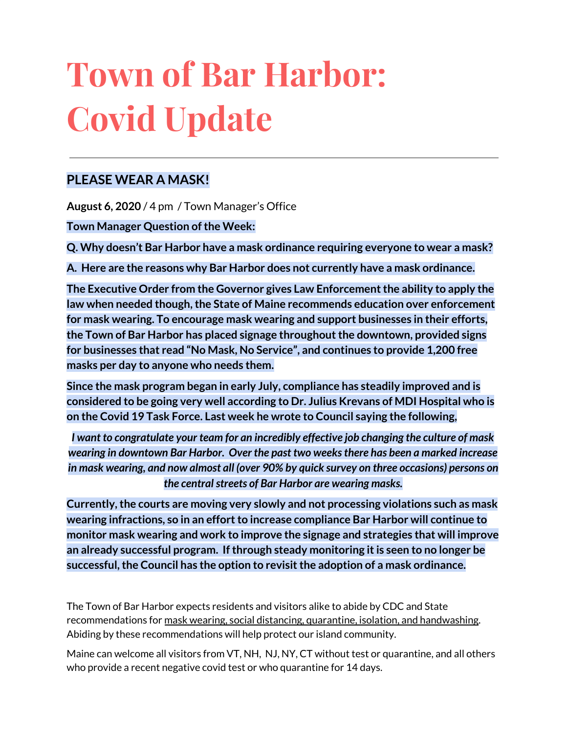# **Town of Bar Harbor: Covid Update**

### **PLEASE WEAR A MASK!**

**August 6, 2020** / 4 pm / Town Manager's Office

**Town Manager Question of the Week:** 

**Q. Why doesn't Bar Harbor have a mask ordinance requiring everyone to wear a mask?**

**A. Here are the reasons why Bar Harbor does not currently have a mask ordinance.**

**The Executive Order from the Governor gives Law Enforcementthe ability to apply the law when needed though,the State of Maine recommends education over enforcement for mask wearing. To encourage mask wearing and support businesses in their efforts, the Town of Bar Harbor has placed signage throughoutthe downtown, provided signs for businesses that read "No Mask, No Service", and continues to provide 1,200 free masks per day to anyone who needs them.**

**Since the mask program began in early July, compliance has steadily improved and is considered to be going very well according to Dr. Julius Krevans of MDI Hospital who is on the Covid 19 Task Force. Last week he wrote to Council saying the following,**

*I want to congratulate your team for an incredibly effective job changing the culture of mask wearing in downtown Bar Harbor. Over the past two weeksthere has been a marked increase in mask wearing, and now almost all (over 90% by quick survey on three occasions) persons on the centralstreets of Bar Harbor are wearing masks.*

**Currently,the courts are moving very slowly and not processing violations such as mask wearing infractions, so in an effortto increase compliance Bar Harbor will continue to monitor mask wearing and work to improve the signage and strategies that will improve an already successful program. Ifthrough steady monitoring itis seen to no longer be successful,the Council has the option to revisitthe adoption of a mask ordinance.**

The Town of Bar Harbor expects residents and visitors alike to abide by CDC and State recommendations for mask wearing, social distancing, quarantine, isolation, and handwashing. Abiding by these recommendations will help protect our island community.

Maine can welcome all visitors from VT, NH, NJ, NY, CT without test or quarantine, and all others who provide a recent negative covid test or who quarantine for 14 days.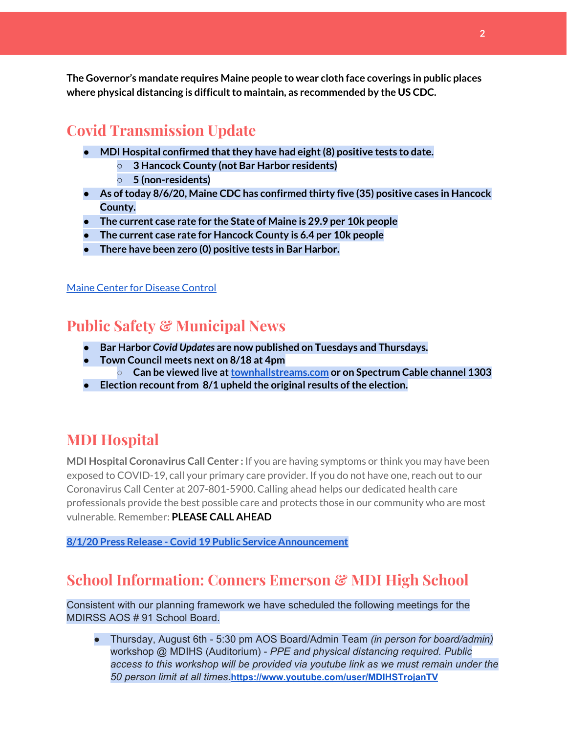**The Governor's mandate requires Maine people to wear cloth face coverings in public places where physical distancing is difficultto maintain, as recommended by the US CDC.**

# **Covid Transmission Update**

- **● MDI Hospital confirmed thatthey have had eight(8) positive tests to date.**
	- **○ 3 Hancock County (not Bar Harbor residents)**
	- **○ 5 (non-residents)**
- **● As oftoday 8/6/20, Maine CDC has confirmed thirty five (35) positive cases in Hancock County.**
- **● The current case rate for the State of Maine is 29.9 per 10k people**
- **● The current case rate for Hancock County is 6.4 per 10k people**
- **There have been zero (0) positive tests in Bar Harbor.**

Maine Center for [Disease](https://www.maine.gov/dhhs/mecdc/infectious-disease/epi/airborne/coronavirus.shtml) Control

# **Public Safety & Municipal News**

- **● Bar Harbor** *Covid Updates* **are now published on Tuesdays and Thursdays.**
- **● Town Council meets next on 8/18 at 4pm**
	- **○ Can be viewed live at[townhallstreams.com](https://townhallstreams.com/) or on Spectrum Cable channel 1303**
- **• Election recount from 8/1 upheld the original results of the election.**

## **MDI Hospital**

**MDI Hospital Coronavirus Call Center :** If you are having symptoms or think you may have been exposed to COVID-19, call your primary care provider. If you do not have one, reach out to our Coronavirus Call Center at 207-801-5900. Calling ahead helps our dedicated health care professionals provide the best possible care and protects those in our community who are most vulnerable. Remember: **PLEASE CALL AHEAD**

**8/1/20 Press Release - Covid 19 Public Service [Announcement](https://www.mdihospital.org/news/covid-19-public-service-announcement/)**

# **School Information: Conners Emerson & MDI High School**

Consistent with our planning framework we have scheduled the following meetings for the MDIRSS AOS # 91 School Board.

● Thursday, August 6th - 5:30 pm AOS Board/Admin Team *(in person for board/admin)* workshop @ MDIHS (Auditorium) - *PPE and physical distancing required. Public access to this workshop will be provided via youtube link as we must remain under the 50 person limit at all times.***<https://www.youtube.com/user/MDIHSTrojanTV>**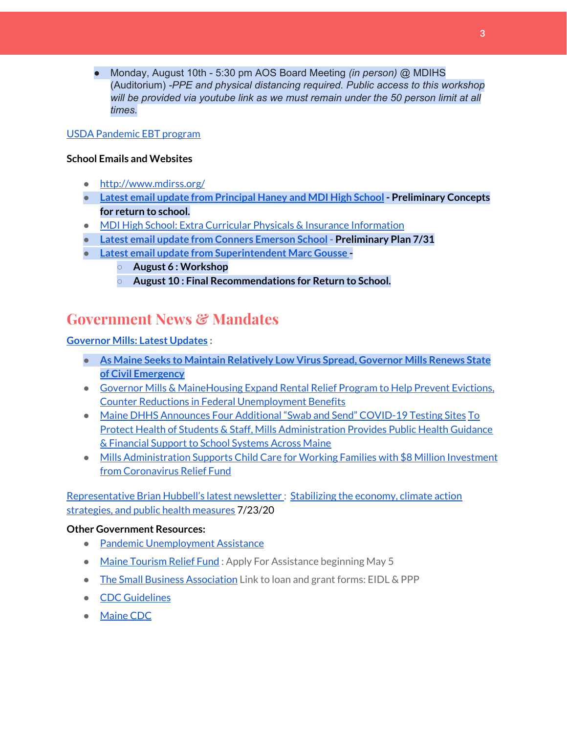● Monday, August 10th - 5:30 pm AOS Board Meeting *(in person)* @ MDIHS (Auditorium) *-PPE and physical distancing required. Public access to this workshop will be provided via youtube link as we must remain under the 50 person limit at all times.*

#### USDA [Pandemic](http://track.spe.schoolmessenger.com/f/a/j6GQx4nFl3Rld4Q68tYCuA~~/AAAAAQA~/RgRgu5_JP0SlaHR0cHM6Ly9tYWlsLmdvb2dsZS5jb20vbWFpbC91LzAvP3RhYj1jbSNzZWFyY2gvZnJvbSUzQStiZWVzbGV5L1doY3RLSlZyQ0NUS1JmUldCTFdkUVpGZ2pUVlhNdkRwUVpIa2NoRkJCc3NGcHJxZEtnWFF3S05Tamt3R1RxTFpaS21wTkRHP3Byb2plY3Rvcj0xJm1lc3NhZ2VQYXJ0SWQ9MC4xVwdzY2hvb2xtQgoARkls2l72Ls-jUhhiYXJoYXJib3JqZXdlbEBnbWFpbC5jb21YBAAAAAE~) EBT program

#### **School Emails and Websites**

- <http://www.mdirss.org/>
- **● Latest email update from [Principal](https://docs.google.com/document/d/1OKDsYNtOgV0FI9xAcXwQvenOKLV0S2vBg1o5jtu5CrE/edit?usp=sharing) Haney and MDI High School - Preliminary Concepts for return to school.**
- MDI High School: Extra Curricular Physicals & Insurance [Information](https://wdea.am/mdihs-extracurricular-activity-physicals-and-insurance-information/?trackback=fbshare_mobile&fbclid=IwAR0wxPd824oG1ATLwkeI9s9n2sdpvEiyxeJGgB_mh2BlEJNT_AXiMynkobs)
- **● Latest email update from Conners [Emerson](https://docs.google.com/document/d/1v3pgkG6Q-9S3gisuUIj4etPVDwgBKl4P00JBkvZr-kk/edit?usp=sharing) School - Preliminary Plan 7/31**
- **● Latest email update from [Superintendent](https://docs.google.com/document/d/1fzeCbc8gpTSKmUaDoQH1Avx5PVl-h0reFphXrT1eUNA/edit?usp=sharing) Marc Gousse -**
	- **○ August 6 : Workshop**
	- **○ August 10 : Final Recommendations for Return to School.**

## **Government News & Mandates**

#### **[Governor](https://www.maine.gov/governor/mills/) Mills: Latest Updates :**

- **● As Maine Seeks to Maintain [Relatively](https://www.maine.gov/governor/mills/news/maine-seeks-maintain-relatively-low-virus-spread-governor-mills-renews-state-civil-emergency) Low Virus Spread, Governor Mills Renews State of Civil [Emergency](https://www.maine.gov/governor/mills/news/maine-seeks-maintain-relatively-low-virus-spread-governor-mills-renews-state-civil-emergency)**
- Governor Mills & [MaineHousing](https://www.maine.gov/governor/mills/news/governor-mills-mainehousing-expand-rental-relief-program-help-prevent-evictions-counter) Expand Rental Relief Program to Help Prevent Evictions, Counter Reductions in Federal [Unemployment](https://www.maine.gov/governor/mills/news/governor-mills-mainehousing-expand-rental-relief-program-help-prevent-evictions-counter) Benefits
- Maine DHHS [Announces](https://www.maine.gov/governor/mills/news/maine-dhhs-announces-four-additional-swab-and-send-covid-19-testing-sites-2020-07-21) Four Additional "Swab and Send" COVID-19 Testing Sites [To](https://www.maine.gov/governor/mills/news/protect-health-students-staff-mills-administration-provides-public-health-guidance-financial) Protect Health of Students & Staff, Mills [Administration](https://www.maine.gov/governor/mills/news/protect-health-students-staff-mills-administration-provides-public-health-guidance-financial) Provides Public Health Guidance & [Financial](https://www.maine.gov/governor/mills/news/protect-health-students-staff-mills-administration-provides-public-health-guidance-financial) Support to School Systems Across Maine
- Mills [Administration](https://www.maine.gov/governor/mills/news/mills-administration-supports-child-care-working-families-8-million-investment-coronavirus) Supports Child Care for Working Families with \$8 Million Investment from [Coronavirus](https://www.maine.gov/governor/mills/news/mills-administration-supports-child-care-working-families-8-million-investment-coronavirus) Relief Fund

#### [Representative](http://www.rephubbell.com/) Brian Hubbell's latest newsletter : [Stabilizing](http://www.rephubbell.com/2020/07/23/stabilizing-the-economy-climate-action-strategies-and-public-health-measures/) the economy, climate action [strategies,](http://www.rephubbell.com/2020/07/23/stabilizing-the-economy-climate-action-strategies-and-public-health-measures/) and public health measures 7/23/20

#### **Other Government Resources:**

- Pandemic [Unemployment](https://www.maine.gov/unemployment/pua/) Assistance
- Maine [Tourism](https://www.mainetourism.com/maine-tourism-relief-fund/) Relief Fund : Apply For Assistance beginning May 5
- The Small Business [Association](https://www.sba.gov/) Link to loan and grant forms: EIDL & PPP
- CDC [Guidelines](https://www.cdc.gov/coronavirus/2019-nCoV/index.html)
- [Maine](https://www.maine.gov/dhhs/mecdc/infectious-disease/epi/airborne/coronavirus.shtml#news) CDC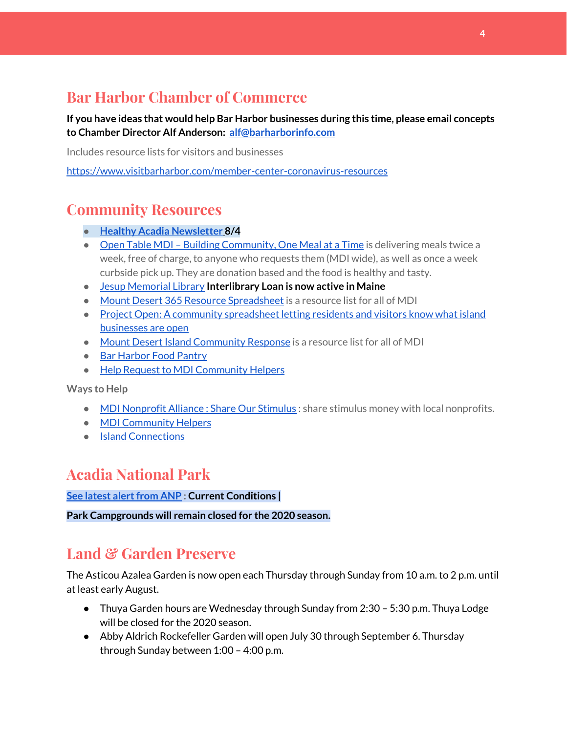# **Bar Harbor Chamber of Commerce**

**If you have ideas that would help Bar Harbor businesses during this time, please email concepts to Chamber Director Alf Anderson: [alf@barharborinfo.com](mailto:alf@barharborinfo.com)**

Includes resource lists for visitors and businesses

<https://www.visitbarharbor.com/member-center-coronavirus-resources>

## **Community Resources**

- **● Healthy Acadia [Newsletter](https://mailchi.mp/healthyacadia.org/august_4_2020) [8](https://mailchi.mp/healthyacadia.org/august_4_2020)/4**
- Open Table MDI Building [Community,](https://www.opentablemdi.org/) One Meal at a Time is delivering meals twice a week, free of charge, to anyone who requests them (MDI wide), as well as once a week curbside pick up. They are donation based and the food is healthy and tasty.
- Jesup [Memorial](https://jesuplibrary.org/) Library **Interlibrary Loan is now active in Maine**
- Mount Desert 365 Resource [Spreadsheet](https://docs.google.com/spreadsheets/d/1okAx6HSsgXZY9CGH07Dzi6rqe7a6m4dLCPKot2Li7Ek/edit?usp=sharing) is a resource list for all of MDI
- Project Open: A community [spreadsheet](https://docs.google.com/spreadsheets/d/1dBicBiBXGzzWEFd9oqL7EBDbFWjDCPl6SSMea_Kt4pc/htmlview#) letting residents and visitors know what island [businesses](https://docs.google.com/spreadsheets/d/1dBicBiBXGzzWEFd9oqL7EBDbFWjDCPl6SSMea_Kt4pc/htmlview#) are open
- Mount Desert Island [Community](https://www.mdicr.org/) Response is a resource list for all of MDI
- Bar [Harbor](https://www.barharborfoodpantry.org/) Food Pantry
- Help Request to MDI [Community](https://docs.google.com/forms/d/e/1FAIpQLSeZfu0tCcthHc9oL7tPomVRdniYiE7nbT_kkK9iCSRgqDhOvQ/viewform) Helpers

**Ways to Help**

- MDI [Nonprofit](https://sites.google.com/mdina.org/public/sos-mdi?authuser=0) Alliance : Share Our Stimulus : share stimulus money with local nonprofits.
- MDI [Community](https://docs.google.com/forms/d/e/1FAIpQLSe_CJUFdVvwJkmymWRqUeK8bx3m7n4uSOuUPYHqXSAyH2DBoQ/viewform?fbclid=IwAR25hjnWGhnMP0lOWMcBPRBumhtQCJGZO4hlk-T-VjNGZljL1kVX5pWrL6U) Helpers
- Island [Connections](http://islconnections.org/contact-us/)

## **Acadia National Park**

**See latest [alertfrom](https://www.nps.gov/acad/planyourvisit/conditions.htm) ANP : Current Conditions |**

**Park Campgrounds will remain closed for the 2020 season.**

## **Land & Garden Preserve**

The Asticou Azalea Garden is now open each Thursday through Sunday from 10 a.m. to 2 p.m. until at least early August.

- Thuya Garden hours are Wednesday through Sunday from 2:30 5:30 p.m. Thuya Lodge will be closed for the 2020 season.
- Abby Aldrich Rockefeller Garden will open July 30 through September 6. Thursday through Sunday between 1:00 – 4:00 p.m.